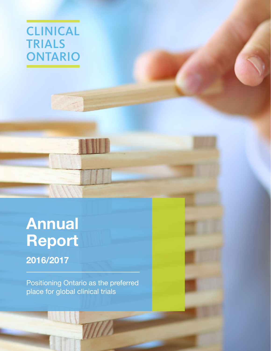## **CLINICAL** TRIALS **ONTARIO**

## **Annual Report 2016/2017**

Positioning Ontario as the preferred place for global clinical trials

WILLI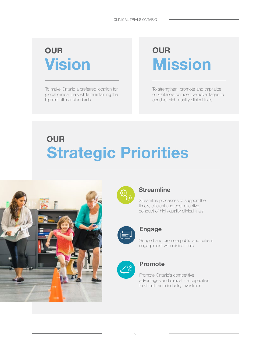## **OUR Vision**

To make Ontario a preferred location for global clinical trials while maintaining the highest ethical standards.

## **OUR Mission**

To strengthen, promote and capitalize on Ontario's competitive advantages to conduct high-quality clinical trials.

## **OUR Strategic Priorities**





#### **Streamline**

Streamline processes to support the timely, efficient and cost-effective conduct of high-quality clinical trials.



#### **Engage**

Support and promote public and patient engagement with clinical trials.



#### **Promote**

Promote Ontario's competitive advantages and clinical trial capacities to attract more industry investment.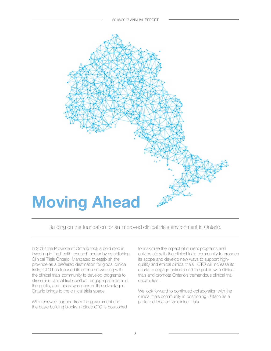

Building on the foundation for an improved clinical trials environment in Ontario.

In 2012 the Province of Ontario took a bold step in investing in the health research sector by establishing Clinical Trials Ontario. Mandated to establish the province as a preferred destination for global clinical trials, CTO has focused its efforts on working with the clinical trials community to develop programs to streamline clinical trial conduct, engage patients and the public, and raise awareness of the advantages Ontario brings to the clinical trials space.

With renewed support from the government and the basic building blocks in place CTO is positioned to maximize the impact of current programs and collaborate with the clinical trials community to broaden its scope and develop new ways to support highquality and ethical clinical trials. CTO will increase its efforts to engage patients and the public with clinical trials and promote Ontario's tremendous clinical trial capabilities.

We look forward to continued collaboration with the clinical trials community in positioning Ontario as a preferred location for clinical trials.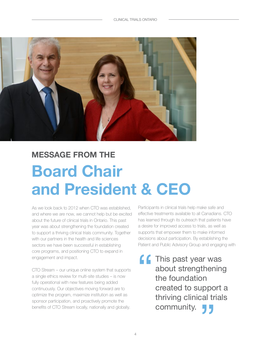

## **MESSAGE FROM THE Board Chair and President & CEO**

As we look back to 2012 when CTO was established, and where we are now, we cannot help but be excited about the future of clinical trials in Ontario. This past year was about strengthening the foundation created to support a thriving clinical trials community. Together with our partners in the health and life sciences sectors we have been successful in establishing core programs, and positioning CTO to expand in engagement and impact.

CTO Stream – our unique online system that supports a single ethics review for multi-site studies – is now fully operational with new features being added continuously. Our objectives moving forward are to optimize the program, maximize institution as well as sponsor participation, and proactively promote the benefits of CTO Stream locally, nationally and globally.

Participants in clinical trials help make safe and effective treatments available to all Canadians. CTO has learned through its outreach that patients have a desire for improved access to trials, as well as supports that empower them to make informed decisions about participation. By establishing the Patient and Public Advisory Group and engaging with

**14 This past year was<br>about strengthening<br>the foundation<br>created to support** about strengthening the foundation created to support a thriving clinical trials community. "<br>"<br>"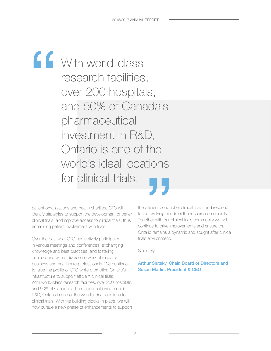With world-class research facilities, over 200 hospitals, and 50% of Canada's pharmaceutical investment in R&D, Ontario is one of the world's ideal locations for clinical trials. "

patient organizations and health charities, CTO will identify strategies to support the development of better clinical trials, and improve access to clinical trials, thus enhancing patient involvement with trials.

Over the past year CTO has actively participated in various meetings and conferences, exchanging knowledge and best practices, and fostering connections with a diverse network of research, business and healthcare professionals. We continue to raise the profile of CTO while promoting Ontario's infrastructure to support efficient clinical trials. With world-class research facilities, over 200 hospitals, and 50% of Canada's pharmaceutical investment in R&D, Ontario is one of the world's ideal locations for clinical trials. With the building blocks in place, we will now pursue a new phase of enhancements to support

the efficient conduct of clinical trials, and respond to the evolving needs of the research community. Together with our clinical trials community we will continue to drive improvements and ensure that Ontario remains a dynamic and sought after clinical trials environment. efficient conduction<br>
the evolving need<br>
ther with our c<br>
tinue to drive im<br>
ario remains a c<br>
s environment.

Sincerely,

Arthur Slutsky, Chair, Board of Directors and Susan Marlin, President & CEO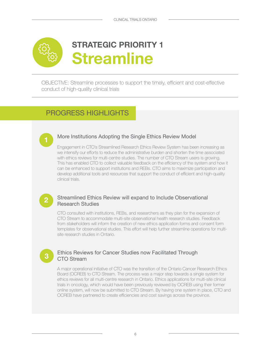

OBJECTIVE: Streamline processes to support the timely, efficient and cost-effective conduct of high-quality clinical trials

### PROGRESS HIGHLIGHTS



#### More Institutions Adopting the Single Ethics Review Model

Engagement in CTO's Streamlined Research Ethics Review System has been increasing as we intensify our efforts to reduce the administrative burden and shorten the time associated with ethics reviews for multi-centre studies. The number of CTO Stream users is growing. This has enabled CTO to collect valuable feedback on the efficiency of the system and how it can be enhanced to support institutions and REBs. CTO aims to maximize participation and develop additional tools and resources that support the conduct of efficient and high-quality clinical trials.

### **2**

#### Streamlined Ethics Review will expand to Include Observational Research Studies

CTO consulted with institutions, REBs, and researchers as they plan for the expansion of CTO Stream to accommodate multi-site observational health research studies. Feedback from stakeholders will inform the creation of new ethics application forms and consent form templates for observational studies. This effort will help further streamline operations for multisite research studies in Ontario.

### **3**

#### Ethics Reviews for Cancer Studies now Facilitated Through CTO Stream

A major operational initiative of CTO was the transition of the Ontario Cancer Research Ethics Board (OCREB) to CTO Stream. The process was a major step towards a single system for ethics reviews for all multi-centre research in Ontario. Ethics applications for multi-site clinical trials in oncology, which would have been previously reviewed by OCREB using their former online system, will now be submitted to CTO Stream. By having one system in place, CTO and OCREB have partnered to create efficiencies and cost savings across the province.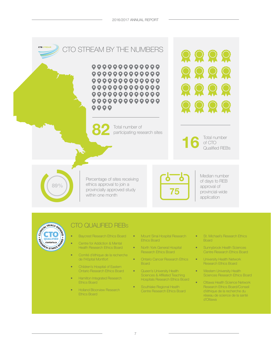



### CTO QUALIFIED REB<sup>s</sup>

- Baycrest Research Ethics Board
- Centre for Addiction & Mental Health Research Ethics Board
- Comité d'éthique de la recherche de l'Hôpital Montfort
- Children's Hospital of Eastern Ontario Research Ethics Board
- Hamilton Integrated Research Ethics Board
- Holland Bloorview Research Ethics Board
- Mount Sinai Hospital Research Ethics Board
- North York General Hospital Research Ethics Board
- **Ontario Cancer Research Ethics Board**
- **Queen's University Health** Sciences & Affiliated Teaching Hospitals Research Ethics Board
- Southlake Regional Health Centre Research Ethics Board
- St. Michael's Research Ethics **Board**
- Sunnybrook Health Sciences Centre Research Ethics Board
- University Health Network Research Ethics Board
- Western University Health Sciences Research Ethics Board
- **Ottawa Health Science Network** Research Ethics Board/Conseil d'éthique de la recherche du réseau de science de la santé d'Ottawa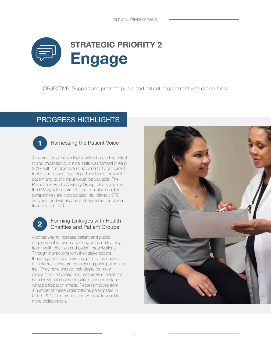## **STRATEGIC PRIORITY 2 Engage**

#### OBJECTIVE: Support and promote public and patient engagement with clinical trials

### PROGRESS HIGHLIGHTS



#### Harnessing the Patient Voice

A committee of seven individuals who are interested in and impacted by clinical trials was formed in early 2017 with the objective of advising CTO on current topics and issues regarding clinical trials for which patient and public input would be valuable. The Patient and Public Advisory Group, also known as the P2AG, will ensure that the patient and public perspectives are incorporated into relevant CTO activities, and will also be ambassadors for clinical trials and for CTO.



#### Forming Linkages with Health Charities and Patient Groups

Another way to increase patient and public engagement is by collaborating with and learning from health charities and patient organizations. Through interactions with their stakeholders, these organizations have insight into the needs of individuals who are considering participating in a trial. They have shared their desire for more clinical trials in Ontario and resources in place that help individuals connect to trials andunderstand what participation entails. Representatives from a number of these organizations participated in CTO's 2017 conference and we look forward to more collaboration.

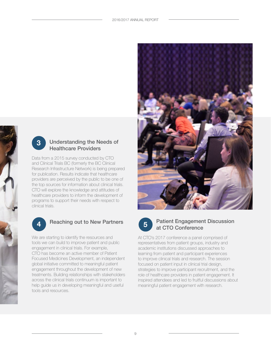

#### Understanding the Needs of Healthcare Providers

Data from a 2015 survey conducted by CTO and Clinical Trials BC (formerly the BC Clinical Research Infrastructure Network) is being prepared for publication. Results indicate that healthcare providers are perceived by the public to be one of the top sources for information about clinical trials. CTO will explore the knowledge and attitudes of healthcare providers to inform the development of programs to support their needs with respect to clinical trials.



**3**

#### Reaching out to New Partners

We are starting to identify the resources and tools we can build to improve patient and public engagement in clinical trials. For example, CTO has become an active member of Patient Focused Medicines Development, an independent global initiative committed to meaningful patient engagement throughout the development of new treatments. Building relationships with stakeholders across the clinical trials continuum is important to help guide us in developing meaningful and useful tools and resources.



**5**

#### **4** Reaching out to New Partners **ARKING A** Patient Engagement Discussion at CTO Conference

At CTO's 2017 conference a panel comprised of representatives from patient groups, industry and academic institutions discussed approaches to learning from patient and participant experiences to improve clinical trials and research. The session focused on patient input in clinical trial design, strategies to improve participant recruitment, and the role of healthcare providers in patient engagement. It inspired attendees and led to fruitful discussions about meaningful patient engagement with research.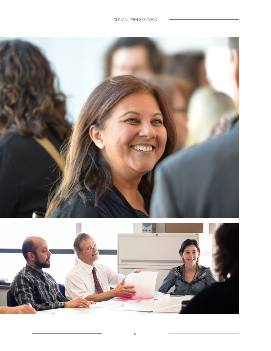

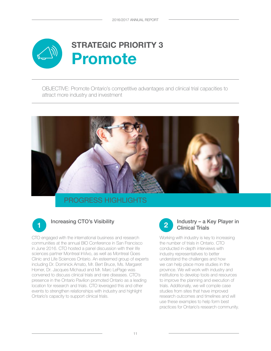

OBJECTIVE: Promote Ontario's competitive advantages and clinical trial capacities to attract more industry and investment



### PROGRESS HIGHLIGHTS



CTO engaged with the international business and research communities at the annual BIO Conference in San Francisco in June 2016. CTO hosted a panel discussion with their life sciences partner Montreal InVivo, as well as Montreal Goes Clinic and Life Sciences Ontario. An esteemed group of experts including Dr. Dominick Amato, Mr. Bert Bruce, Ms. Margaret Horner, Dr. Jacques Michaud and Mr. Marc LePage was convened to discuss clinical trials and rare diseases. CTO's presence in the Ontario Pavilion promoted Ontario as a leading location for research and trials. CTO leveraged this and other events to strengthen relationships with industry and highlight Ontario's capacity to support clinical trials.



#### **1** Increasing CTO's Visibility **1** Industry – a Key Player in Clinical Trials **2** Industry – a Key Player in<br>**2** Clinical Trials

Working with industry is key to increasing the number of trials in Ontario. CTO conducted in-depth interviews with industry representatives to better understand the challenges and how we can help place more studies in the province. We will work with industry and institutions to develop tools and resources to improve the planning and execution of trials. Additionally, we will compile case studies from sites that have improved research outcomes and timelines and will use these examples to help form best practices for Ontario's research community.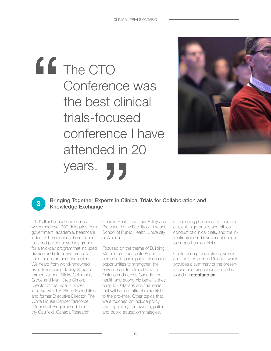## The CTO Conference was the best clinical trials-focused conference I have attended in 20 years. " 77





#### Bringing Together Experts in Clinical Trials for Collaboration and **3 Knowledge Exchange**

CTO's third annual conference welcomed over 300 delegates from government, academia, healthcare, industry, life sciences, health charities and patient advocacy groups for a two-day program that included diverse and interactive presentations, speakers and discussions. We heard from world-renowned experts including Jeffrey Simpson, former National Affairs Columnist, Globe and Mail, Greg Simon, Director of the Biden Cancer Initiative with The Biden Foundation and former Executive Director, The White House Cancer Taskforce (Moonshot Program) and Timothy Caulfield, Canada Research

Chair in Health and Law Policy and Professor in the Faculty of Law and School of Public Health, University of Alberta.

Focused on the theme of Building Momentum: Ideas into Action, conference participants discussed opportunities to strengthen the environment for clinical trials in Ontario and across Canada, the health and economic benefits they bring to Ontarians and the ideas that will help us attract more trials to the province. Other topics that were touched on include policy and regulatory frameworks, patient and public education strategies,

streamlining processes to facilitate efficient, high-quality and ethical conduct of clinical trials, and the infrastructure and investment needed to support clinical trials.

Conference presentations, videos and the Conference Digest – which provides a summary of the presentations and discussions – can be found on **[ctontario.ca](http://ctontario.ca)**.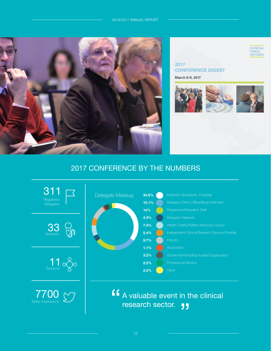





### 2017 CONFERENCE BY THE NUMBERS

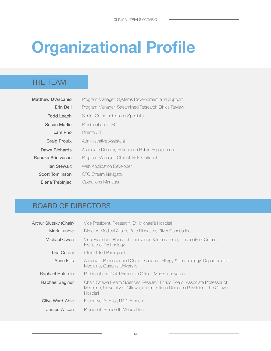# **Organizational Profile**

### THE TEAM

| <b>Matthew D'Ascanio</b> | Program Manager, Systems Development and Support    |  |  |
|--------------------------|-----------------------------------------------------|--|--|
| Erin Bell                | Program Manager, Streamlined Research Ethics Review |  |  |
| <b>Todd Leach</b>        | <b>Senior Communications Specialist</b>             |  |  |
| <b>Susan Marlin</b>      | President and CFO                                   |  |  |
| Lam Pho                  | Director, IT                                        |  |  |
| <b>Craig Proulx</b>      | Administrative Assistant                            |  |  |
| <b>Dawn Richards</b>     | Associate Director, Patient and Public Engagement   |  |  |
| Ranuka Sriniyasan        | Program Manager, Clinical Trials Outreach           |  |  |
| lan Stewart              | <b>Web Application Developer</b>                    |  |  |
| <b>Scott Tomlinson</b>   | CTO Stream Navigator                                |  |  |
| Elena Trebinjac          | <b>Operations Manager</b>                           |  |  |

### BOARD OF DIRECTORS

| Arthur Slutsky (Chair) | Vice President, Research, St. Michael's Hospital                                                                                                                         |  |
|------------------------|--------------------------------------------------------------------------------------------------------------------------------------------------------------------------|--|
| Mark Lundie            | Director, Medical Affairs, Rare Diseases, Pfizer Canada Inc.                                                                                                             |  |
| Michael Owen           | Vice-President, Research, Innovation & International, University of Ontario<br>Institute of Technology                                                                   |  |
| Tina Ceroni            | <b>Clinical Trial Participant</b>                                                                                                                                        |  |
| Anne Ellis             | Associate Professor and Chair, Division of Allergy & Immunology, Department of<br>Medicine, Queen's University                                                           |  |
| Raphael Hofstein       | President and Chief Executive Officer, MaRS Innovation                                                                                                                   |  |
| Raphael Saginur        | Chair, Ottawa Health Sciences Research Ethics Board, Associate Professor of<br>Medicine, University of Ottawa, and Infectious Diseases Physician, The Ottawa<br>Hospital |  |
| Clive Ward-Able        | Executive Director, R&D, Amgen                                                                                                                                           |  |
| James Wilson           | President. Brancorth Medical Inc.                                                                                                                                        |  |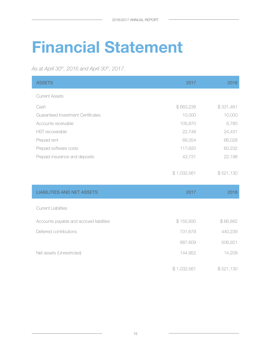## **Financial Statement**

*As at April 30th, 2016 and April 30th, 2017.*

| <b>ASSETS</b>                            | 2017        | 2016      |
|------------------------------------------|-------------|-----------|
| <b>Current Assets</b>                    |             |           |
| Cash                                     | \$663,238   | \$331,461 |
| Guaranteed Investment Certificates       | 10,000      | 10,000    |
| Accounts receivable                      | 105,870     | 6,780     |
| <b>HST</b> recoverable                   | 22,748      | 24,431    |
| Prepaid rent                             | 69,354      | 66,028    |
| Prepaid software costs                   | 117,620     | 60,232    |
| Prepaid insurance and deposits           | 43,731      | 22,198    |
|                                          | \$1,032,561 | \$521,130 |
| <b>LIABILITIES AND NET ASSETS</b>        | 2017        | 2016      |
| <b>Current Liabilities</b>               |             |           |
| Accounts payable and accrued liabilities | \$155,930   | \$66,682  |
| Deferred contributions                   | 731,679     | 440,239   |
|                                          | 887,609     | 506,921   |
| Net assets (Unrestricted)                | 144,952     | 14,209    |
|                                          | \$1,032,561 | \$521,130 |